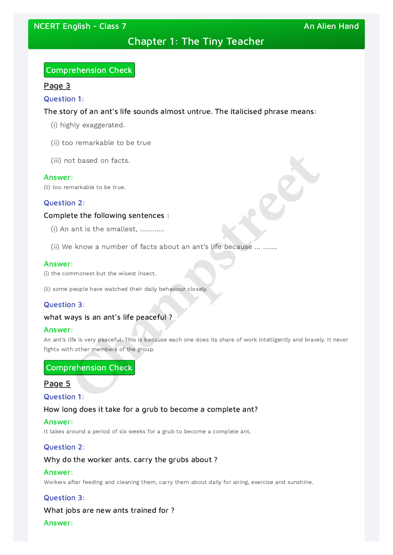# Chapter 1: The Tiny Teacher

## Comprehension Check

## Page 3

### Question 1:

## The story of an ant's life sounds almost untrue. The italicised phrase means:

- (i) highly exaggerated.
- (ii) too remarkable to be true
- (iii) not based on facts.

### Answer:

(ii) too remarkable to be true.

An ant's life is very peaceful. This is because each one does its share of work intelligently and bravely. It never fights with other members of the group. or based on facts.<br>
F:<br>
Emarkable to be true.<br> **Champs sentences** :<br>
ant is the smallest, .............<br>
(e know a number of facts about an ant's life because ... ........<br>
F:<br>
F:<br>
Emarkable to the wisest insect.<br> **Champs** 

## Question 2:

## Complete the following sentences :

- (i) An ant is the smallest, …………
- (ii) We know a number of facts about an ant's life because … …….

### Answer:

(i) the commonest but the wisest insect.

(ii) some people have watched their daily behaviour closely.

## Question 3:

## what ways is an ant's life peaceful?

## Answer:

## Comprehension Check

## Page 5

## Question 1:

How long does it take for a grub to become a complete ant?

#### Answer:

It takes around a period of six weeks for a grub to become a complete ant.

## Question 2:

## Why do the worker ants. carry the grubs about ?

#### Answer:

Workers after feeding and cleaning them, carry them about daily for airing, exercise and sunshine.

## Question 3:

## What jobs are new ants trained for ? Answer: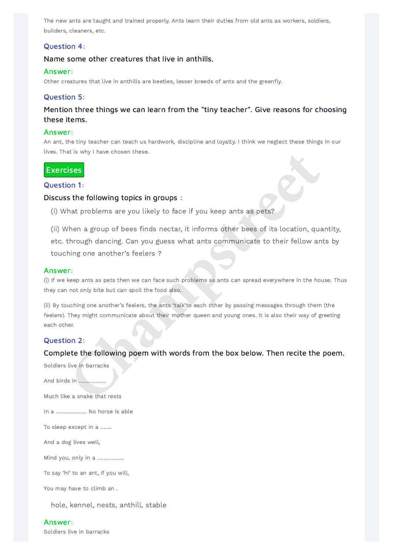The new ants are taught and trained properly. Ants learn their duties from old ants as workers, soldiers, builders, cleaners, etc.

## Question 4:

## Name some other creatures that live in anthills.

### Answer:

Other creatures that live in anthills are beetles, lesser breeds of ants and the greenfly.

## Question 5:

(ii) When a group of bees finds nectar, it informs other bees of its location, quantity, etc. through dancing. Can you guess what ants communicate to their fellow ants by touching one another's feelers ? **Champs and Solution**<br> **Champs are solutions** are you likely to face if you keep ants as pets?<br>
Then a group of bees finds nectar, it informs other bees of its location, que<br>
through dancing. Can you guess what ants commun

## Mention three things we can learn from the "tiny teacher". Give reasons for choosing these items.

### Answer:

An ant, the tiny teacher can teach us hardwork, discipline and loyalty. I think we neglect these things in our lives. That is why I have chosen these.

## **Exercises**

## Question 1:

## Discuss the following topics in groups :

(i) What problems are you likely to face if you keep ants as pets?

## Answer:

(i) If we keep ants as pets then we can face such problems as ants can spread everywhere in the house. Thus they can not only bite but can spoil the food also.

(ii) By touching one another's feelers, the ants 'talk'to each other by passing messages through them (the feelers). They might communicate about their mother queen and young ones. It is also their way of greeting each other.

## Question 2:

## Complete the following poem with words from the box below. Then recite the poem.

Soldiers live in barracks

And birds in ……………..

Much like a snake that rests

In a ………………. No horse is able

To sleep except in a …….

And a dog lives well,

Mind you, only in a ……………..

To say 'hi' to an ant, if you will,

You may have to climb an .

hole, kennel, nests, anthill, stable

#### Answer:

Soldiers live in barracks